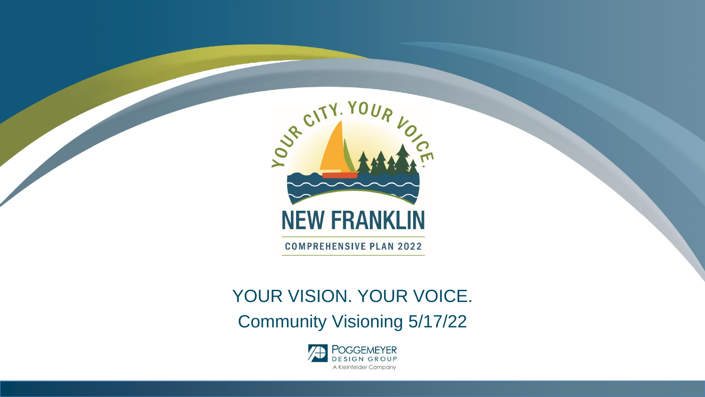

**COMPREHENSIVE PLAN 2022** 

#### YOUR VISION. YOUR VOICE.

Community Visioning 5/17/22

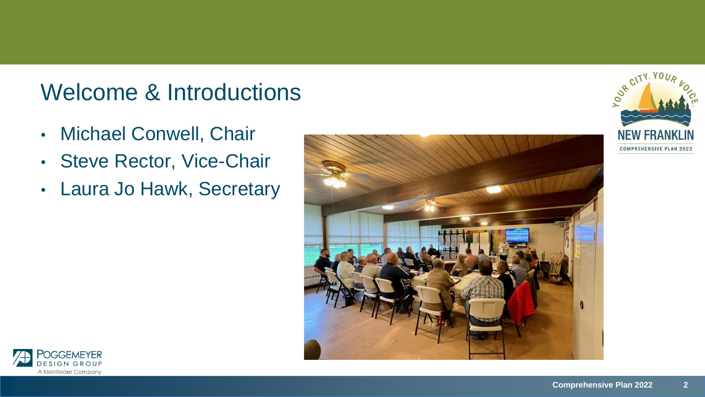#### Welcome & Introductions

- Michael Conwell, Chair
- Steve Rector, Vice-Chair
- Laura Jo Hawk, Secretary





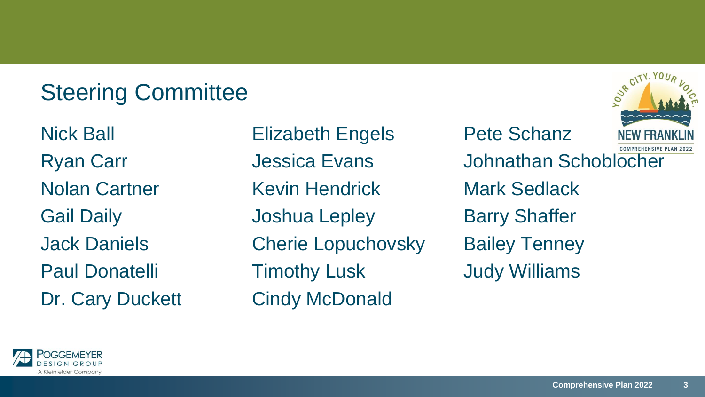## Steering Committee

Nick Ball **Elizabeth Engels** Pete Schanz Nolan Cartner Kevin Hendrick Mark Sedlack Gail Daily **Joshua Lepley** Barry Shaffer Jack Daniels Cherie Lopuchovsky Bailey Tenney Paul Donatelli Timothy Lusk Judy Williams Dr. Cary Duckett Cindy McDonald

**COMPREHENSIVE PLAN 2022** Ryan Carr **Garr** Jessica Evans Johnathan Schoblocher



**ADVR CIT**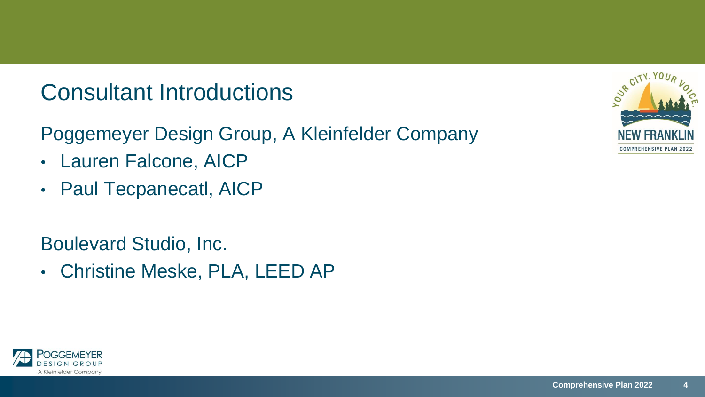#### Consultant Introductions

Poggemeyer Design Group, A Kleinfelder Company

- Lauren Falcone, AICP
- Paul Tecpanecatl, AICP

Boulevard Studio, Inc.

• Christine Meske, PLA, LEED AP



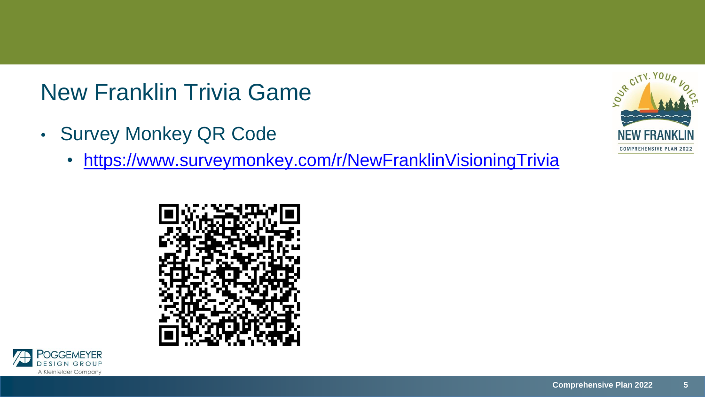### New Franklin Trivia Game

- Survey Monkey QR Code
	- <https://www.surveymonkey.com/r/NewFranklinVisioningTrivia>





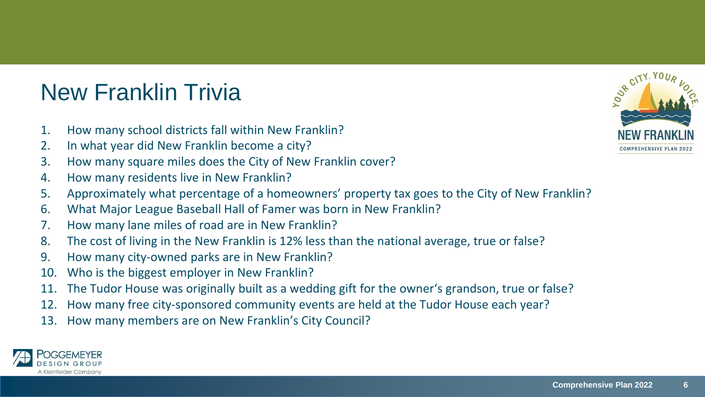# New Franklin Trivia

- 1. How many school districts fall within New Franklin?
- 2. In what year did New Franklin become a city?
- 3. How many square miles does the City of New Franklin cover?
- 4. How many residents live in New Franklin?
- 5. Approximately what percentage of a homeowners' property tax goes to the City of New Franklin?
- 6. What Major League Baseball Hall of Famer was born in New Franklin?
- 7. How many lane miles of road are in New Franklin?
- 8. The cost of living in the New Franklin is 12% less than the national average, true or false?
- 9. How many city-owned parks are in New Franklin?
- 10. Who is the biggest employer in New Franklin?
- 11. The Tudor House was originally built as a wedding gift for the owner's grandson, true or false?
- 12. How many free city-sponsored community events are held at the Tudor House each year?
- 13. How many members are on New Franklin's City Council?



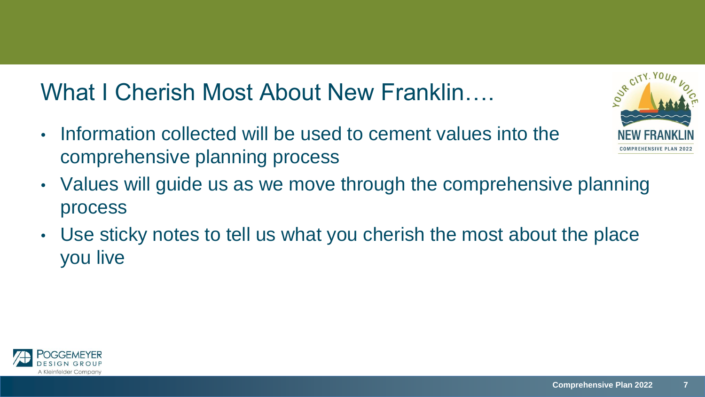### What I Cherish Most About New Franklin….

- Information collected will be used to cement values into the comprehensive planning process
- Values will guide us as we move through the comprehensive planning process
- Use sticky notes to tell us what you cherish the most about the place you live



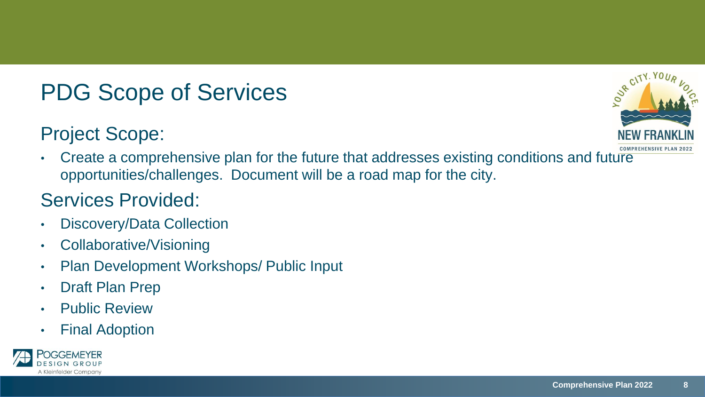# PDG Scope of Services

#### Project Scope:



• Create a comprehensive plan for the future that addresses existing conditions and future opportunities/challenges. Document will be a road map for the city.

#### Services Provided:

- Discovery/Data Collection
- Collaborative/Visioning
- Plan Development Workshops/ Public Input
- Draft Plan Prep
- Public Review
- Final Adoption

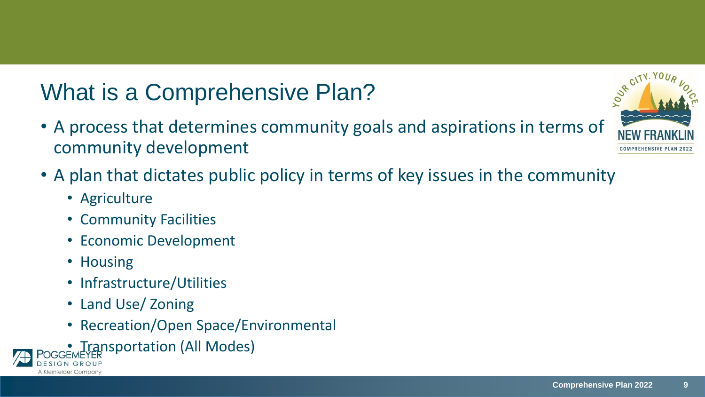# What is a Comprehensive Plan?

- A process that determines community goals and aspirations in terms of community development
- A plan that dictates public policy in terms of key issues in the community
	- Agriculture
	- Community Facilities
	- Economic Development
	- Housing
	- Infrastructure/Utilities
	- Land Use/ Zoning
	- Recreation/Open Space/Environmental
- Iransportation (All Modes)



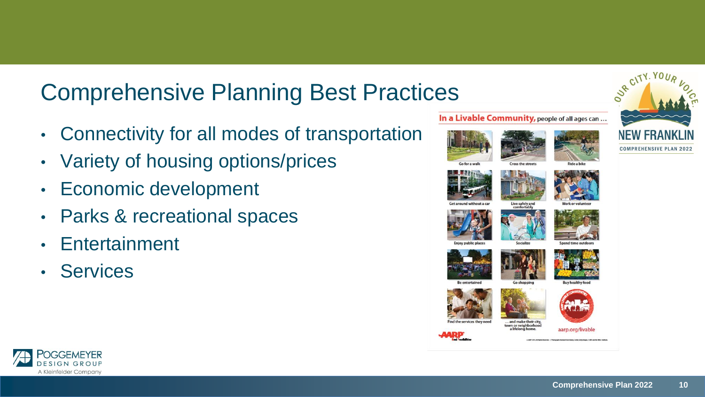#### Comprehensive Planning Best Practices

- Connectivity for all modes of transportation
- Variety of housing options/prices
- Economic development
- Parks & recreational spaces
- Entertainment
- Services



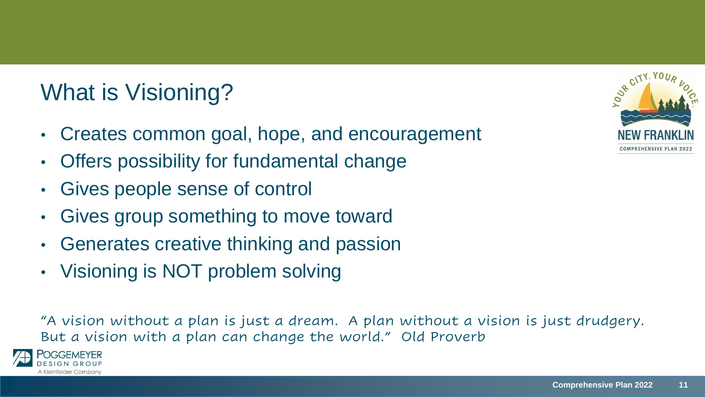# What is Visioning?

- Creates common goal, hope, and encouragement
- Offers possibility for fundamental change
- Gives people sense of control
- Gives group something to move toward
- Generates creative thinking and passion
- Visioning is NOT problem solving

"A vision without a plan is just a dream. A plan without a vision is just drudgery. But a vision with a plan can change the world." Old Proverb



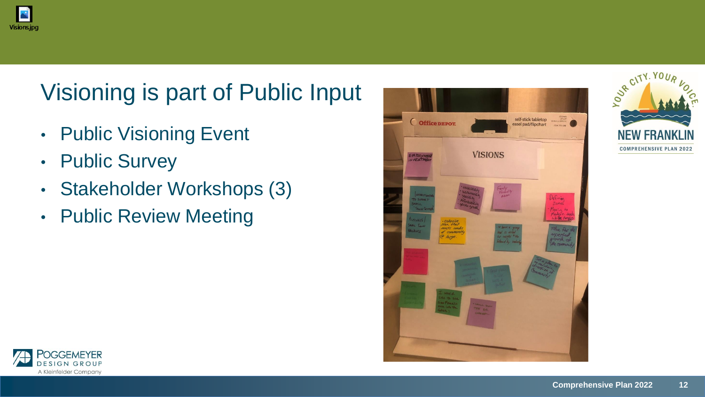

# Visioning is part of Public Input

- Public Visioning Event
- Public Survey
- Stakeholder Workshops (3)
- Public Review Meeting





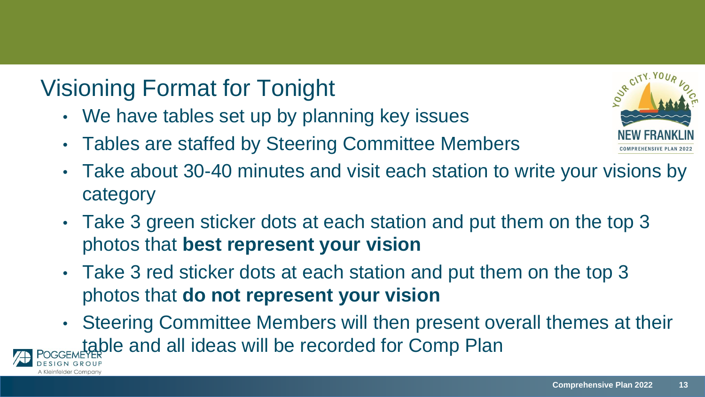## Visioning Format for Tonight

- We have tables set up by planning key issues
- Tables are staffed by Steering Committee Members



- Take about 30-40 minutes and visit each station to write your visions by category
- Take 3 green sticker dots at each station and put them on the top 3 photos that **best represent your vision**
- Take 3 red sticker dots at each station and put them on the top 3 photos that **do not represent your vision**
- Steering Committee Members will then present overall themes at their table and all ideas will be recorded for Comp Plan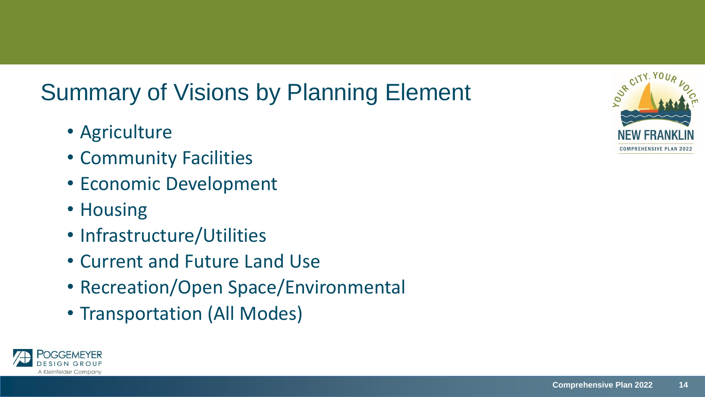# Summary of Visions by Planning Element

- Agriculture
- Community Facilities
- Economic Development
- Housing
- Infrastructure/Utilities
- Current and Future Land Use
- Recreation/Open Space/Environmental
- Transportation (All Modes)



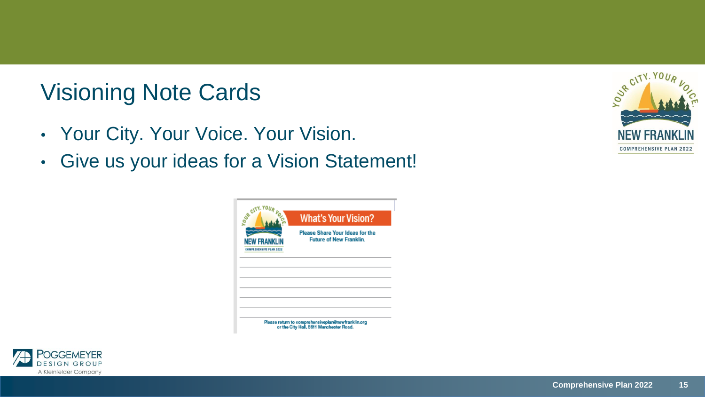# Visioning Note Cards

- Your City. Your Voice. Your Vision.
- Give us your ideas for a Vision Statement!

| OUR CITY, YOU,<br><b>NEW FRANKL</b><br><b>COMPRESENSIVE PLAN 2022</b> | <b>What's Your Vision?</b>                                               |
|-----------------------------------------------------------------------|--------------------------------------------------------------------------|
|                                                                       | <b>Please Share Your Ideas for the</b><br><b>Future of New Franklin.</b> |
|                                                                       |                                                                          |
|                                                                       |                                                                          |
|                                                                       |                                                                          |
|                                                                       |                                                                          |
|                                                                       |                                                                          |



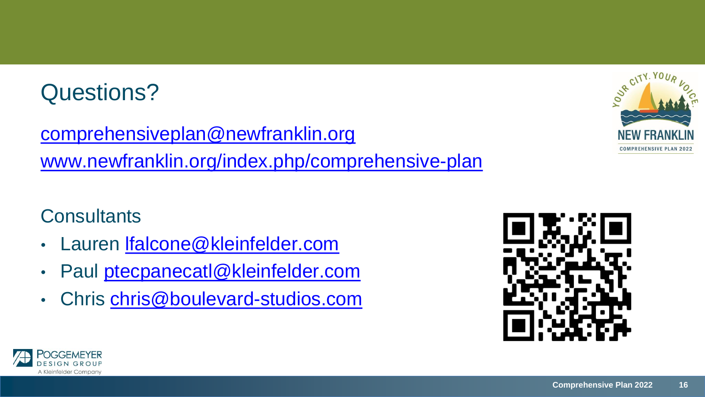#### Questions?

[comprehensiveplan@newfranklin.org](mailto:comprehensiveplan@newfranklin.org) [www.newfranklin.org/index.php/comprehensive-plan](http://www.newfranklin.org/index.php/comprehensive-plan)

#### **Consultants**

- Lauren [lfalcone@kleinfelder.com](mailto:lfalcone@kleinfelder.com)
- Paul [ptecpanecatl@kleinfelder.com](mailto:ptecpanecatl@kleinfelder.com)
- Chris [chris@boulevard-studios.com](mailto:chris@boulevard-studios.com)